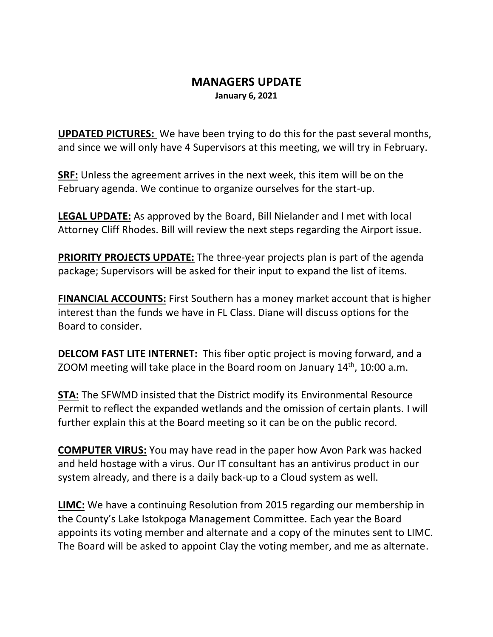## **MANAGERS UPDATE January 6, 2021**

**UPDATED PICTURES:** We have been trying to do this for the past several months, and since we will only have 4 Supervisors at this meeting, we will try in February.

**SRF:** Unless the agreement arrives in the next week, this item will be on the February agenda. We continue to organize ourselves for the start-up.

**LEGAL UPDATE:** As approved by the Board, Bill Nielander and I met with local Attorney Cliff Rhodes. Bill will review the next steps regarding the Airport issue.

**PRIORITY PROJECTS UPDATE:** The three-year projects plan is part of the agenda package; Supervisors will be asked for their input to expand the list of items.

**FINANCIAL ACCOUNTS:** First Southern has a money market account that is higher interest than the funds we have in FL Class. Diane will discuss options for the Board to consider.

**DELCOM FAST LITE INTERNET:** This fiber optic project is moving forward, and a ZOOM meeting will take place in the Board room on January  $14<sup>th</sup>$ , 10:00 a.m.

**STA:** The SFWMD insisted that the District modify its Environmental Resource Permit to reflect the expanded wetlands and the omission of certain plants. I will further explain this at the Board meeting so it can be on the public record.

**COMPUTER VIRUS:** You may have read in the paper how Avon Park was hacked and held hostage with a virus. Our IT consultant has an antivirus product in our system already, and there is a daily back-up to a Cloud system as well.

**LIMC:** We have a continuing Resolution from 2015 regarding our membership in the County's Lake Istokpoga Management Committee. Each year the Board appoints its voting member and alternate and a copy of the minutes sent to LIMC. The Board will be asked to appoint Clay the voting member, and me as alternate.